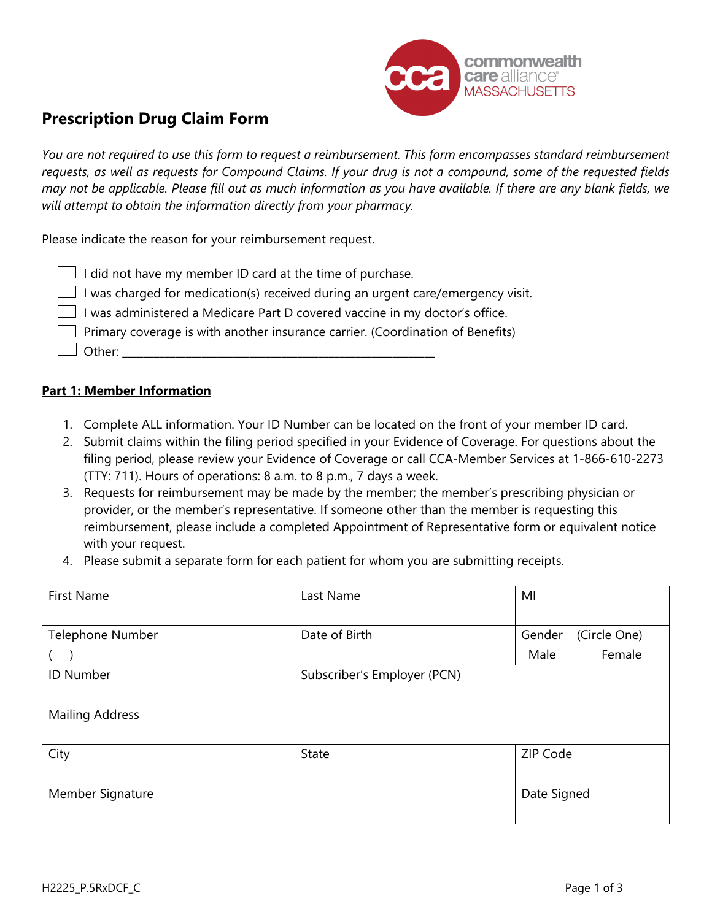

# **Prescription Drug Claim Form**

*You are not required to use this form to request a reimbursement. This form encompasses standard reimbursement requests, as well as requests for Compound Claims. If your drug is not a compound, some of the requested fields may not be applicable. Please fill out as much information as you have available. If there are any blank fields, we will attempt to obtain the information directly from your pharmacy.*

Please indicate the reason for your reimbursement request.

| $\Box$ I did not have my member ID card at the time of purchase.                       |
|----------------------------------------------------------------------------------------|
| $\Box$ I was charged for medication(s) received during an urgent care/emergency visit. |
| I was administered a Medicare Part D covered vaccine in my doctor's office.            |
| $\Box$ Primary coverage is with another insurance carrier. (Coordination of Benefits)  |
| $\Box$ Other:                                                                          |

### **Part 1: Member Information**

- 1. Complete ALL information. Your ID Number can be located on the front of your member ID card.
- 2. Submit claims within the filing period specified in your Evidence of Coverage. For questions about the filing period, please review your Evidence of Coverage or call CCA-Member Services at 1-866-610-2273 (TTY: 711). Hours of operations: 8 a.m. to 8 p.m., 7 days a week.
- 3. Requests for reimbursement may be made by the member; the member's prescribing physician or provider, or the member's representative. If someone other than the member is requesting this reimbursement, please include a completed Appointment of Representative form or equivalent notice with your request.
- 4. Please submit a separate form for each patient for whom you are submitting receipts.

| <b>First Name</b>      | Last Name                   | MI                     |  |
|------------------------|-----------------------------|------------------------|--|
|                        |                             |                        |  |
| Telephone Number       | Date of Birth               | (Circle One)<br>Gender |  |
|                        |                             | Female<br>Male         |  |
| <b>ID Number</b>       | Subscriber's Employer (PCN) |                        |  |
|                        |                             |                        |  |
| <b>Mailing Address</b> |                             |                        |  |
|                        |                             |                        |  |
| City                   | <b>State</b>                | ZIP Code               |  |
|                        |                             |                        |  |
| Member Signature       | Date Signed                 |                        |  |
|                        |                             |                        |  |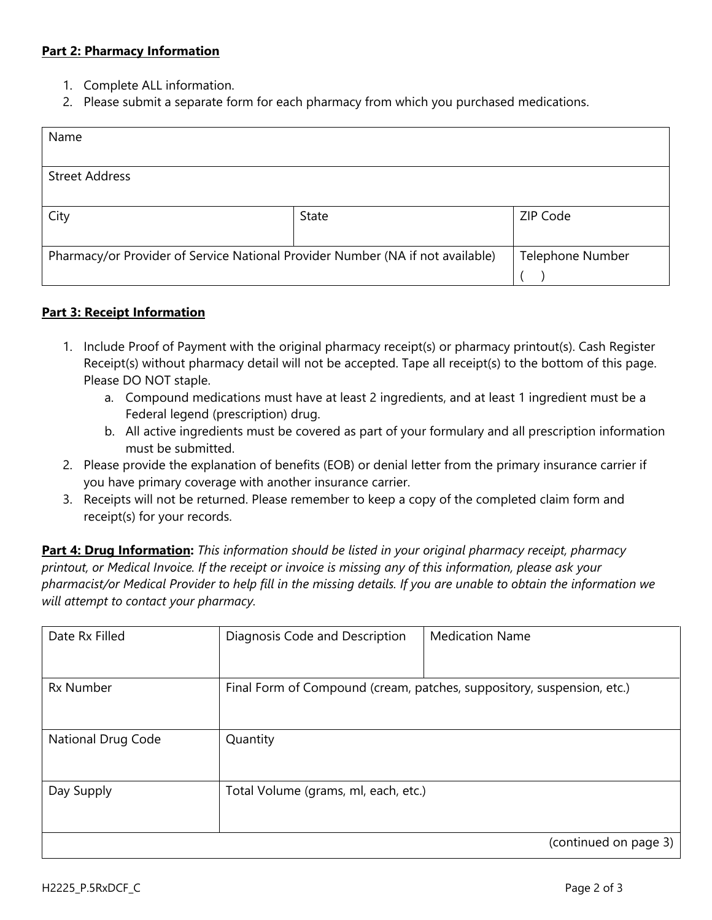### **Part 2: Pharmacy Information**

- 1. Complete ALL information.
- 2. Please submit a separate form for each pharmacy from which you purchased medications.

| Name                                                                           |       |                         |  |
|--------------------------------------------------------------------------------|-------|-------------------------|--|
|                                                                                |       |                         |  |
| <b>Street Address</b>                                                          |       |                         |  |
|                                                                                |       |                         |  |
| City                                                                           | State | ZIP Code                |  |
|                                                                                |       |                         |  |
| Pharmacy/or Provider of Service National Provider Number (NA if not available) |       | <b>Telephone Number</b> |  |
|                                                                                |       |                         |  |

### **Part 3: Receipt Information**

- 1. Include Proof of Payment with the original pharmacy receipt(s) or pharmacy printout(s). Cash Register Receipt(s) without pharmacy detail will not be accepted. Tape all receipt(s) to the bottom of this page. Please DO NOT staple.
	- a. Compound medications must have at least 2 ingredients, and at least 1 ingredient must be a Federal legend (prescription) drug.
	- b. All active ingredients must be covered as part of your formulary and all prescription information must be submitted.
- 2. Please provide the explanation of benefits (EOB) or denial letter from the primary insurance carrier if you have primary coverage with another insurance carrier.
- 3. Receipts will not be returned. Please remember to keep a copy of the completed claim form and receipt(s) for your records.

**Part 4: Drug Information:** *This information should be listed in your original pharmacy receipt, pharmacy printout, or Medical Invoice. If the receipt or invoice is missing any of this information, please ask your pharmacist/or Medical Provider to help fill in the missing details. If you are unable to obtain the information we will attempt to contact your pharmacy.*

| Date Rx Filled     | Diagnosis Code and Description                                         | <b>Medication Name</b> |
|--------------------|------------------------------------------------------------------------|------------------------|
| <b>Rx Number</b>   | Final Form of Compound (cream, patches, suppository, suspension, etc.) |                        |
| National Drug Code | Quantity                                                               |                        |
| Day Supply         | Total Volume (grams, ml, each, etc.)                                   |                        |
|                    |                                                                        | (continued on page 3)  |